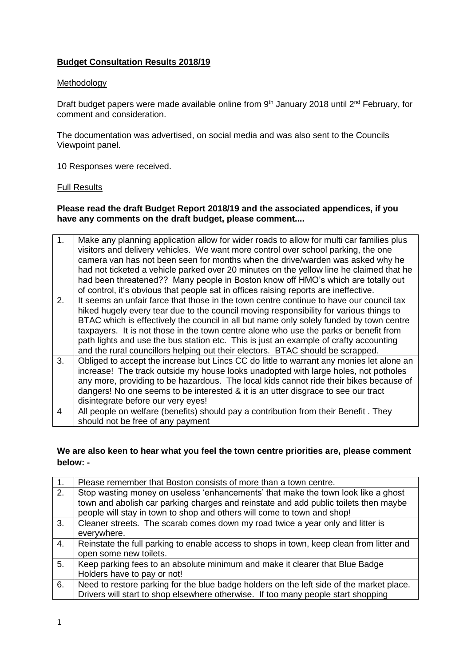# **Budget Consultation Results 2018/19**

### Methodology

Draft budget papers were made available online from 9<sup>th</sup> January 2018 until 2<sup>nd</sup> February, for comment and consideration.

The documentation was advertised, on social media and was also sent to the Councils Viewpoint panel.

10 Responses were received.

### Full Results

## **Please read the draft Budget Report 2018/19 and the associated appendices, if you have any comments on the draft budget, please comment....**

| 1 <sub>1</sub> | Make any planning application allow for wider roads to allow for multi car families plus<br>visitors and delivery vehicles. We want more control over school parking, the one<br>camera van has not been seen for months when the drive/warden was asked why he<br>had not ticketed a vehicle parked over 20 minutes on the yellow line he claimed that he<br>had been threatened?? Many people in Boston know off HMO's which are totally out<br>of control, it's obvious that people sat in offices raising reports are ineffective.           |
|----------------|--------------------------------------------------------------------------------------------------------------------------------------------------------------------------------------------------------------------------------------------------------------------------------------------------------------------------------------------------------------------------------------------------------------------------------------------------------------------------------------------------------------------------------------------------|
| 2.             | It seems an unfair farce that those in the town centre continue to have our council tax<br>hiked hugely every tear due to the council moving responsibility for various things to<br>BTAC which is effectively the council in all but name only solely funded by town centre<br>taxpayers. It is not those in the town centre alone who use the parks or benefit from<br>path lights and use the bus station etc. This is just an example of crafty accounting<br>and the rural councillors helping out their electors. BTAC should be scrapped. |
| 3.             | Obliged to accept the increase but Lincs CC do little to warrant any monies let alone an<br>increase! The track outside my house looks unadopted with large holes, not potholes<br>any more, providing to be hazardous. The local kids cannot ride their bikes because of<br>dangers! No one seems to be interested & it is an utter disgrace to see our tract<br>disintegrate before our very eyes!                                                                                                                                             |
| 4              | All people on welfare (benefits) should pay a contribution from their Benefit. They<br>should not be free of any payment                                                                                                                                                                                                                                                                                                                                                                                                                         |

## **We are also keen to hear what you feel the town centre priorities are, please comment below: -**

| $\overline{1}$ . | Please remember that Boston consists of more than a town centre.                         |
|------------------|------------------------------------------------------------------------------------------|
| $\overline{2}$ . | Stop wasting money on useless 'enhancements' that make the town look like a ghost        |
|                  | town and abolish car parking charges and reinstate and add public toilets then maybe     |
|                  | people will stay in town to shop and others will come to town and shop!                  |
| 3.               | Cleaner streets. The scarab comes down my road twice a year only and litter is           |
|                  | everywhere.                                                                              |
| 4.               | Reinstate the full parking to enable access to shops in town, keep clean from litter and |
|                  | open some new toilets.                                                                   |
| 5.               | Keep parking fees to an absolute minimum and make it clearer that Blue Badge             |
|                  | Holders have to pay or not!                                                              |
| 6.               | Need to restore parking for the blue badge holders on the left side of the market place. |
|                  | Drivers will start to shop elsewhere otherwise. If too many people start shopping        |